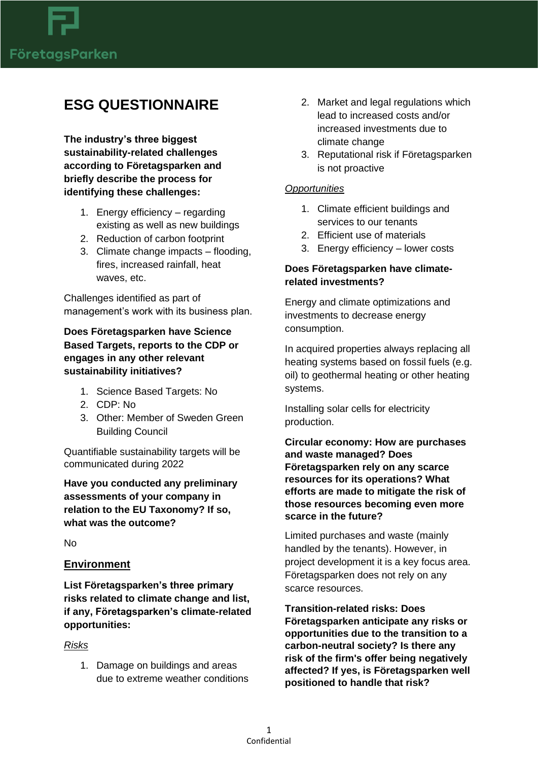

# **ESG QUESTIONNAIRE**

**The industry's three biggest sustainability-related challenges according to Företagsparken and briefly describe the process for identifying these challenges:**

- 1. Energy efficiency regarding existing as well as new buildings
- 2. Reduction of carbon footprint
- 3. Climate change impacts flooding, fires, increased rainfall, heat waves, etc.

Challenges identified as part of management's work with its business plan.

# **Does Företagsparken have Science Based Targets, reports to the CDP or engages in any other relevant sustainability initiatives?**

- 1. Science Based Targets: No
- 2. CDP: No
- 3. Other: Member of Sweden Green Building Council

Quantifiable sustainability targets will be communicated during 2022

**Have you conducted any preliminary assessments of your company in relation to the EU Taxonomy? If so, what was the outcome?**

No

#### **Environment**

**List Företagsparken's three primary risks related to climate change and list, if any, Företagsparken's climate-related opportunities:**

#### *Risks*

1. Damage on buildings and areas due to extreme weather conditions

- 2. Market and legal regulations which lead to increased costs and/or increased investments due to climate change
- 3. Reputational risk if Företagsparken is not proactive

#### *Opportunities*

- 1. Climate efficient buildings and services to our tenants
- 2. Efficient use of materials
- 3. Energy efficiency lower costs

## **Does Företagsparken have climaterelated investments?**

Energy and climate optimizations and investments to decrease energy consumption.

In acquired properties always replacing all heating systems based on fossil fuels (e.g. oil) to geothermal heating or other heating systems.

Installing solar cells for electricity production.

**Circular economy: How are purchases and waste managed? Does Företagsparken rely on any scarce resources for its operations? What efforts are made to mitigate the risk of those resources becoming even more scarce in the future?**

Limited purchases and waste (mainly handled by the tenants). However, in project development it is a key focus area. Företagsparken does not rely on any scarce resources.

**Transition-related risks: Does Företagsparken anticipate any risks or opportunities due to the transition to a carbon-neutral society? Is there any risk of the firm's offer being negatively affected? If yes, is Företagsparken well positioned to handle that risk?**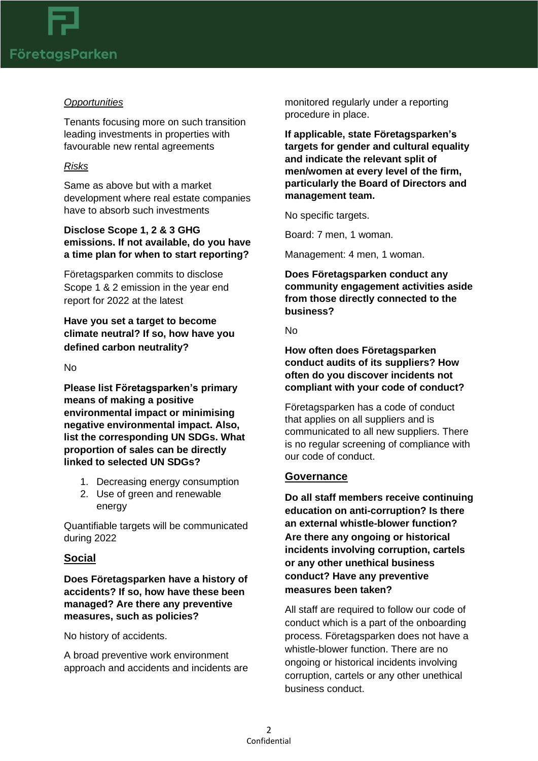

#### *Opportunities*

Tenants focusing more on such transition leading investments in properties with favourable new rental agreements

## *Risks*

Same as above but with a market development where real estate companies have to absorb such investments

# **Disclose Scope 1, 2 & 3 GHG emissions. If not available, do you have a time plan for when to start reporting?**

Företagsparken commits to disclose Scope 1 & 2 emission in the year end report for 2022 at the latest

# **Have you set a target to become climate neutral? If so, how have you defined carbon neutrality?**

#### No

**Please list Företagsparken's primary means of making a positive environmental impact or minimising negative environmental impact. Also, list the corresponding UN SDGs. What proportion of sales can be directly linked to selected UN SDGs?**

- 1. Decreasing energy consumption
- 2. Use of green and renewable energy

Quantifiable targets will be communicated during 2022

# **Social**

**Does Företagsparken have a history of accidents? If so, how have these been managed? Are there any preventive measures, such as policies?**

No history of accidents.

A broad preventive work environment approach and accidents and incidents are monitored regularly under a reporting procedure in place.

**If applicable, state Företagsparken's targets for gender and cultural equality and indicate the relevant split of men/women at every level of the firm, particularly the Board of Directors and management team.**

No specific targets.

Board: 7 men, 1 woman.

Management: 4 men, 1 woman.

**Does Företagsparken conduct any community engagement activities aside from those directly connected to the business?**

No

**How often does Företagsparken conduct audits of its suppliers? How often do you discover incidents not compliant with your code of conduct?**

Företagsparken has a code of conduct that applies on all suppliers and is communicated to all new suppliers. There is no regular screening of compliance with our code of conduct.

#### **Governance**

**Do all staff members receive continuing education on anti-corruption? Is there an external whistle-blower function? Are there any ongoing or historical incidents involving corruption, cartels or any other unethical business conduct? Have any preventive measures been taken?**

All staff are required to follow our code of conduct which is a part of the onboarding process. Företagsparken does not have a whistle-blower function. There are no ongoing or historical incidents involving corruption, cartels or any other unethical business conduct.